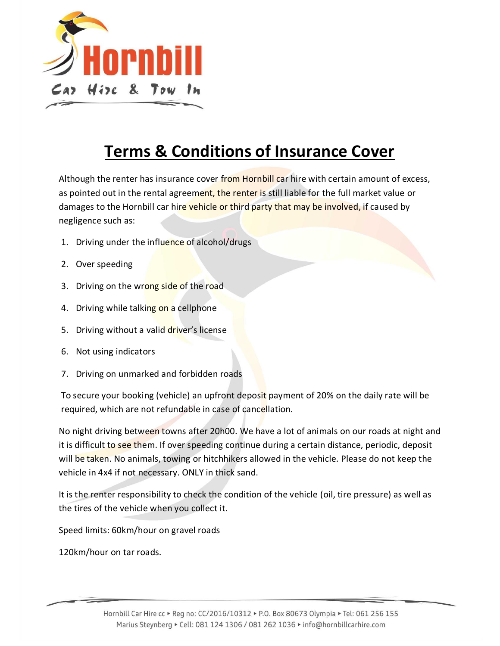

## **Terms & Conditions of Insurance Cover**

Although the renter has insurance cover from Hornbill car hire with certain amount of excess, as pointed out in the rental agreement, the renter is still liable for the full market value or damages to the Hornbill car hire vehicle or third party that may be involved, if caused by negligence such as:

- 1. Driving under the influence of alcohol/drugs
- 2. Over speeding
- 3. Driving on the wrong side of the road
- 4. Driving while talking on a cellphone
- 5. Driving without a valid driver's license
- 6. Not using indicators
- 7. Driving on unmarked and forbidden roads

To secure your booking (vehicle) an upfront deposit payment of 20% on the daily rate will be required, which are not refundable in case of cancellation.

No night driving between towns after 20h00. We have a lot of animals on our roads at night and it is difficult to see them. If over speeding continue during a certain distance, periodic, deposit will be taken. No animals, towing or hitchhikers allowed in the vehicle. Please do not keep the vehicle in 4x4 if not necessary. ONLY in thick sand.

It is the renter responsibility to check the condition of the vehicle (oil, tire pressure) as well as the tires of the vehicle when you collect it.

Speed limits: 60km/hour on gravel roads

120km/hour on tar roads.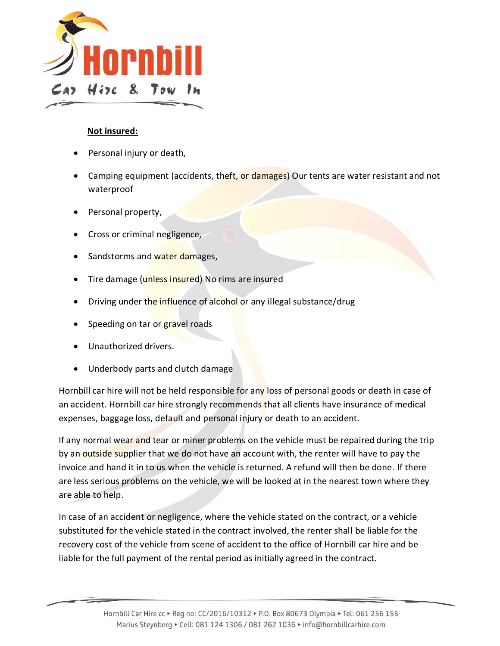

## **Not insured:**

- Personal injury or death,
- Camping equipment (accidents, theft, or damages) Our tents are water resistant and not waterproof
- Personal property,
- Cross or criminal negligence,
- Sandstorms and water damages,
- Tire damage (unless insured) No rims are insured
- Driving under the influence of alcohol or any illegal substance/drug
- Speeding on tar or gravel roads
- Unauthorized drivers.
- Underbody parts and clutch damage

Hornbill car hire will not be held responsible for any loss of personal goods or death in case of an accident. Hornbill car hire strongly recommends that all clients have insurance of medical expenses, baggage loss, default and personal injury or death to an accident.

If any normal wear and tear or miner problems on the vehicle must be repaired during the trip by an outside supplier that we do not have an account with, the renter will have to pay the invoice and hand it in to us when the vehicle is returned. A refund will then be done. If there are less serious problems on the vehicle, we will be looked at in the nearest town where they are able to help.

In case of an accident or negligence, where the vehicle stated on the contract, or a vehicle substituted for the vehicle stated in the contract involved, the renter shall be liable for the recovery cost of the vehicle from scene of accident to the office of Hornbill car hire and be liable for the full payment of the rental period as initially agreed in the contract.